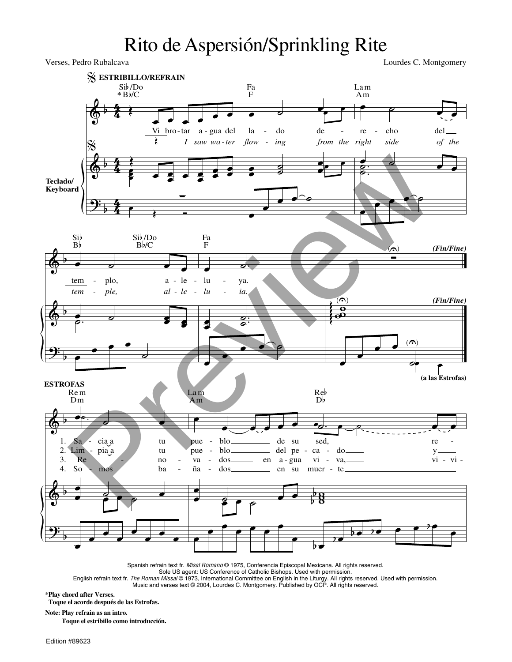## Rito de Aspersión/Sprinkling Rite

& &  $\frac{1}{2}$  $\overline{ }$  $\overline{ }$  $\overline{ }$ 4 4 4 4 4 4 **Teclado/ Keyboard ESTRIBILLO/REFRAIN** Œ **\*** <sup>B</sup>b/C Œ  $\overrightarrow{V_1}$  bro-tar a-gua del Sib /Do Vi bro- tar *I saw wa - ter*  $\overline{\mathcal{A}}$ Œ  $\ddot{\phantom{0}}$ ₹ ∙ ;<br> œ œ œ œ  $\frac{1}{2}$   $\frac{1}{2}$   $\frac{1}{2}$   $\frac{1}{2}$   $\frac{1}{2}$   $\frac{1}{2}$   $\frac{1}{2}$ P<br>P  $\overline{\phantom{a}}$ <sup>∑</sup> <sup>œ</sup> Œ Ó  $\bullet$   $\bullet$   $\bullet$   $\bullet$ F Fa la *flow*  do *ing* de *from the right*  $\overline{\phantom{a}}$ œ œ ˙ ˙ œ œ<sup>œ</sup> <sup>œ</sup> œ œ  $\frac{\bullet}{\bullet}$  $\begin{array}{c|c|c|c|c} \hline \circ & \circ & \bullet & \bullet \end{array}$ Am La m re cho *side* del *of the*  $\frac{a}{b}$ .  $\breve{\phantom{a}}$  $\blacksquare$ œ œ œ œ ˙ & &  $\frac{1}{2}$  $\overline{ }$  $\overline{ }$  $\overline{ }$ œ ˙ œ œ Bb Sib <sup>B</sup>b/C Sib /Do tem *tem*  plo, *ple,* a *al*  le *le*  **е в в в**  $\sim$ .  $\overline{a}$ œ œ œ  $\overline{\phantom{a}}$  $\overline{\phantom{a}}$   $\overline{\phantom{a}}$   $\overline{\phantom{a}}$   $\overline{\phantom{a}}$   $\overline{\phantom{a}}$   $\overline{\phantom{a}}$   $\overline{\phantom{a}}$   $\overline{\phantom{a}}$   $\overline{\phantom{a}}$   $\overline{\phantom{a}}$   $\overline{\phantom{a}}$   $\overline{\phantom{a}}$   $\overline{\phantom{a}}$   $\overline{\phantom{a}}$   $\overline{\phantom{a}}$   $\overline{\phantom{a}}$   $\overline{\phantom{a}}$   $\overline{\phantom{a}}$   $\overline{\$ F Fa lu *lu*  ya. *ia.* œ  $\begin{array}{c} \bullet \ \bullet \end{array}$ . ˙ ˙ œ œ  $\qquad \qquad$ *(Fin/Fine) (Fin/Fine)*  $\overline{a}$ U) ∑  $\frac{5}{2}$  $\frac{\alpha}{2}$  $\begin{pmatrix} 0 \\ 0 \end{pmatrix}$ g g e<br>C œ œ  $\qquad \qquad$  $\overline{\phantom{a}}$  $\frac{1}{\sqrt{2}}$ **P**<br>
(a las Estrofas) & &  $\frac{1}{2}$  $\overline{ }$  $\overline{ }$  $\overline{ }$ **ESTROFAS** 1. 2. 3. 4. œ  $\overline{\phantom{a}}$ Dm Rem  $Sa -$ Lim So cia a pia a mos tu tu ba ˙. Re no œ  $\qquad \qquad \bullet$ œ œ ˙ œ œ œ œ œ œ œ œ œ  $\bullet$   $\bullet$   $\bullet$   $\bullet$   $\bullet$  explosive the substitution of  $\bullet$  substitution  $\bullet$  substitution of  $\bullet$  substitution  $\bullet$  substitution of  $\bullet$  substitution of  $\bullet$  substitution of  $\bullet$  substitution of  $\bullet$  substitution of  $\bullet$ Am La m pue pue ña blo blo dos de del pe su va - dos en en a - gua su œ  $\overrightarrow{e}$ **๛**  $\overline{\phantom{a}}$ œ œ œ œ œ œ œ ˙ œ . œ Db Reb<br>Db sed, re y vi - vi -  $\frac{1}{2}$   $\frac{1}{2}$ - ca vi muer do va, te  $\frac{6}{5}$ b  $\overrightarrow{b}$ œ Verses, Pedro Rubalcava Lourdes C. Montgomery  $\frac{\sqrt{6}}{20}$ <br>
Preview  $\frac{1}{20}$ <br>
Preview  $\frac{1}{20}$ <br>
Preview  $\frac{1}{20}$ <br>
Preview  $\frac{1}{20}$ <br>
Preview  $\frac{1}{20}$ <br>
Preview  $\frac{1}{20}$ <br>
Preview  $\frac{1}{20}$ <br>
Preview  $\frac{1}{20}$ <br>
Preview  $\frac{1}{20}$ <br>
Preview  $\frac{1}{20}$ <br>
Previe

Spanish refrain text fr. Misal Romano @ 1975, Conferencia Episcopal Mexicana. All rights reserved.

Sole US agent: US Conference of Catholic Bishops. Used with permission.

English refrain text fr. The Roman Missal © 1973, International Committee on English in the Liturgy. All rights reserved. Used with permission. Music and verses text © 2004, Lourdes C. Montgomery. Published by OCP. All rights reserved.

**\*Play chord after Verses.**

**Toque el acorde después de las Estrofas.**

**Note: Play refrain as an intro.**

**Toque el estribillo como introducción.**